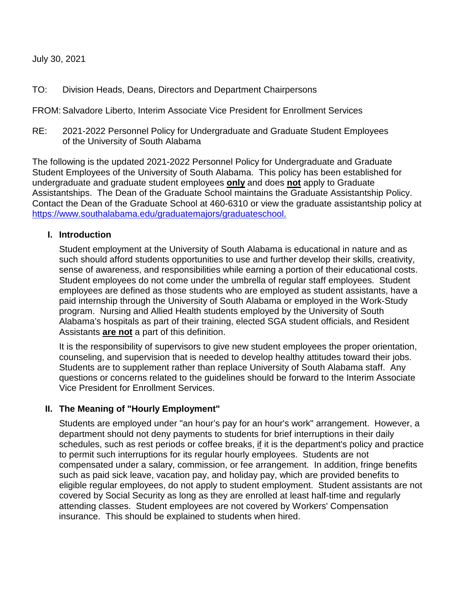### July 30, 2021

TO: Division Heads, Deans, Directors and Department Chairpersons

FROM: Salvadore Liberto, Interim Associate Vice President for Enrollment Services

RE: 2021-2022 Personnel Policy for Undergraduate and Graduate Student Employees of the University of South Alabama

The following is the updated 2021-2022 Personnel Policy for Undergraduate and Graduate Student Employees of the University of South Alabama. This policy has been established for undergraduate and graduate student employees **only** and does **not** apply to Graduate Assistantships. The Dean of the Graduate School maintains the Graduate Assistantship Policy. Contact the Dean of the Graduate School at 460-6310 or view the graduate assistantship policy at <https://www.southalabama.edu/graduatemajors/graduateschool.>

#### **I. Introduction**

Student employment at the University of South Alabama is educational in nature and as such should afford students opportunities to use and further develop their skills, creativity, sense of awareness, and responsibilities while earning a portion of their educational costs. Student employees do not come under the umbrella of regular staff employees. Student employees are defined as those students who are employed as student assistants, have a paid internship through the University of South Alabama or employed in the Work-Study program. Nursing and Allied Health students employed by the University of South Alabama's hospitals as part of their training, elected SGA student officials, and Resident Assistants **are not** a part of this definition.

It is the responsibility of supervisors to give new student employees the proper orientation, counseling, and supervision that is needed to develop healthy attitudes toward their jobs. Students are to supplement rather than replace University of South Alabama staff. Any questions or concerns related to the guidelines should be forward to the Interim Associate Vice President for Enrollment Services.

### **II. The Meaning of "Hourly Employment"**

Students are employed under "an hour's pay for an hour's work" arrangement. However, a department should not deny payments to students for brief interruptions in their daily schedules, such as rest periods or coffee breaks, if it is the department's policy and practice to permit such interruptions for its regular hourly employees. Students are not compensated under a salary, commission, or fee arrangement. In addition, fringe benefits such as paid sick leave, vacation pay, and holiday pay, which are provided benefits to eligible regular employees, do not apply to student employment. Student assistants are not covered by Social Security as long as they are enrolled at least half-time and regularly attending classes. Student employees are not covered by Workers' Compensation insurance. This should be explained to students when hired.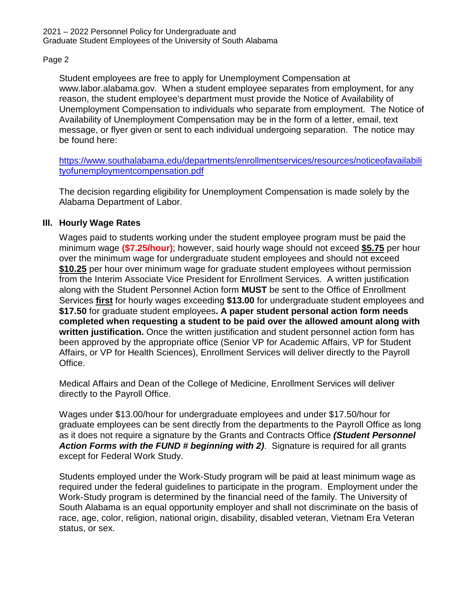Student employees are free to apply for Unemployment Compensation at www.labor.alabama.gov. When a student employee separates from employment, for any reason, the student employee's department must provide the Notice of Availability of Unemployment Compensation to individuals who separate from employment. The Notice of Availability of Unemployment Compensation may be in the form of a letter, email, text message, or flyer given or sent to each individual undergoing separation. The notice may be found here:

[https://www.southalabama.edu/departments/enrollmentservices/resources/noticeofavailabili](https://www.southalabama.edu/departments/enrollmentservices/resources/noticeofavailabilityofunemploymentcompensation.pdf) [tyofunemploymentcompensation.pdf](https://www.southalabama.edu/departments/enrollmentservices/resources/noticeofavailabilityofunemploymentcompensation.pdf)

The decision regarding eligibility for Unemployment Compensation is made solely by the Alabama Department of Labor.

## **III. Hourly Wage Rates**

Wages paid to students working under the student employee program must be paid the minimum wage **(\$7.25/hour)**; however, said hourly wage should not exceed **\$5.75** per hour over the minimum wage for undergraduate student employees and should not exceed **\$10.25** per hour over minimum wage for graduate student employees without permission from the Interim Associate Vice President for Enrollment Services. A written justification along with the Student Personnel Action form **MUST** be sent to the Office of Enrollment Services **first** for hourly wages exceeding **\$13.00** for undergraduate student employees and **\$17.50** for graduate student employees**. A paper student personal action form needs completed when requesting a student to be paid over the allowed amount along with written justification.** Once the written justification and student personnel action form has been approved by the appropriate office (Senior VP for Academic Affairs, VP for Student Affairs, or VP for Health Sciences), Enrollment Services will deliver directly to the Payroll Office.

Medical Affairs and Dean of the College of Medicine, Enrollment Services will deliver directly to the Payroll Office.

Wages under \$13.00/hour for undergraduate employees and under \$17.50/hour for graduate employees can be sent directly from the departments to the Payroll Office as long as it does not require a signature by the Grants and Contracts Office *(Student Personnel Action Forms with the FUND # beginning with 2)*. Signature is required for all grants except for Federal Work Study.

Students employed under the Work-Study program will be paid at least minimum wage as required under the federal guidelines to participate in the program. Employment under the Work-Study program is determined by the financial need of the family. The University of South Alabama is an equal opportunity employer and shall not discriminate on the basis of race, age, color, religion, national origin, disability, disabled veteran, Vietnam Era Veteran status, or sex.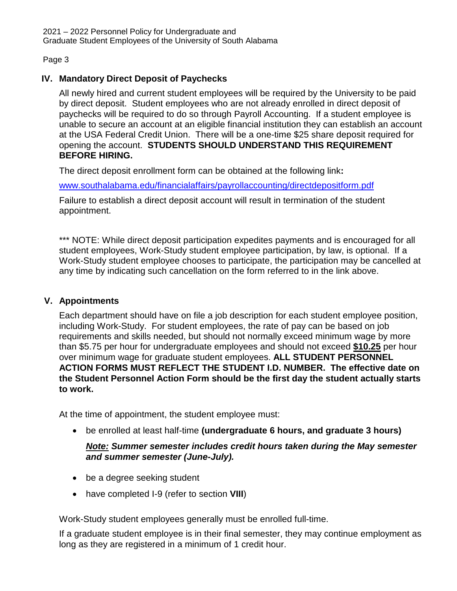# **IV. Mandatory Direct Deposit of Paychecks**

All newly hired and current student employees will be required by the University to be paid by direct deposit. Student employees who are not already enrolled in direct deposit of paychecks will be required to do so through Payroll Accounting. If a student employee is unable to secure an account at an eligible financial institution they can establish an account at the USA Federal Credit Union. There will be a one-time \$25 share deposit required for opening the account. **STUDENTS SHOULD UNDERSTAND THIS REQUIREMENT BEFORE HIRING.** 

The direct deposit enrollment form can be obtained at the following link**:**

[www.southalabama.edu/financialaffairs/payrollaccounting/directdepositform.pdf](http://www.southalabama.edu/financialaffairs/payrollaccounting/directdepositform.pdf)

Failure to establish a direct deposit account will result in termination of the student appointment.

\*\*\* NOTE: While direct deposit participation expedites payments and is encouraged for all student employees, Work-Study student employee participation, by law, is optional. If a Work-Study student employee chooses to participate, the participation may be cancelled at any time by indicating such cancellation on the form referred to in the link above.

# **V. Appointments**

Each department should have on file a job description for each student employee position, including Work-Study. For student employees, the rate of pay can be based on job requirements and skills needed, but should not normally exceed minimum wage by more than \$5.75 per hour for undergraduate employees and should not exceed **\$10.25** per hour over minimum wage for graduate student employees. **ALL STUDENT PERSONNEL ACTION FORMS MUST REFLECT THE STUDENT I.D. NUMBER. The effective date on the Student Personnel Action Form should be the first day the student actually starts to work.**

At the time of appointment, the student employee must:

• be enrolled at least half-time **(undergraduate 6 hours, and graduate 3 hours)**

# *Note: Summer semester includes credit hours taken during the May semester and summer semester (June-July).*

- be a degree seeking student
- have completed I-9 (refer to section **VIII**)

Work-Study student employees generally must be enrolled full-time.

If a graduate student employee is in their final semester, they may continue employment as long as they are registered in a minimum of 1 credit hour.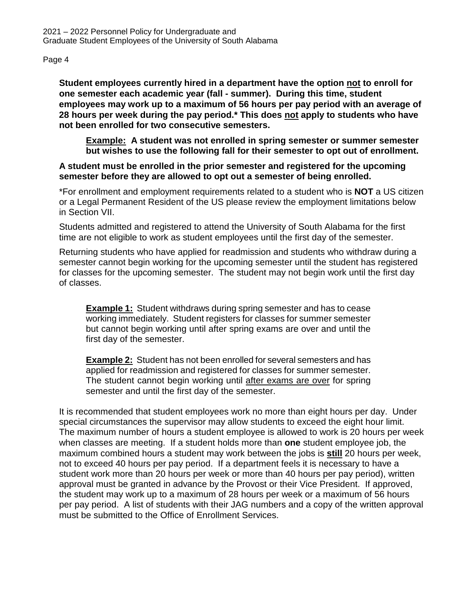**Student employees currently hired in a department have the option not to enroll for one semester each academic year (fall - summer). During this time, student employees may work up to a maximum of 56 hours per pay period with an average of 28 hours per week during the pay period.\* This does not apply to students who have not been enrolled for two consecutive semesters.**

**Example: A student was not enrolled in spring semester or summer semester but wishes to use the following fall for their semester to opt out of enrollment.**

## **A student must be enrolled in the prior semester and registered for the upcoming semester before they are allowed to opt out a semester of being enrolled.**

\*For enrollment and employment requirements related to a student who is **NOT** a US citizen or a Legal Permanent Resident of the US please review the employment limitations below in Section VII.

Students admitted and registered to attend the University of South Alabama for the first time are not eligible to work as student employees until the first day of the semester.

Returning students who have applied for readmission and students who withdraw during a semester cannot begin working for the upcoming semester until the student has registered for classes for the upcoming semester. The student may not begin work until the first day of classes.

**Example 1:** Student withdraws during spring semester and has to cease working immediately. Student registers for classes for summer semester but cannot begin working until after spring exams are over and until the first day of the semester.

**Example 2:** Student has not been enrolled for several semesters and has applied for readmission and registered for classes for summer semester. The student cannot begin working until after exams are over for spring semester and until the first day of the semester.

It is recommended that student employees work no more than eight hours per day. Under special circumstances the supervisor may allow students to exceed the eight hour limit. The maximum number of hours a student employee is allowed to work is 20 hours per week when classes are meeting. If a student holds more than **one** student employee job, the maximum combined hours a student may work between the jobs is **still** 20 hours per week, not to exceed 40 hours per pay period. If a department feels it is necessary to have a student work more than 20 hours per week or more than 40 hours per pay period), written approval must be granted in advance by the Provost or their Vice President. If approved, the student may work up to a maximum of 28 hours per week or a maximum of 56 hours per pay period. A list of students with their JAG numbers and a copy of the written approval must be submitted to the Office of Enrollment Services.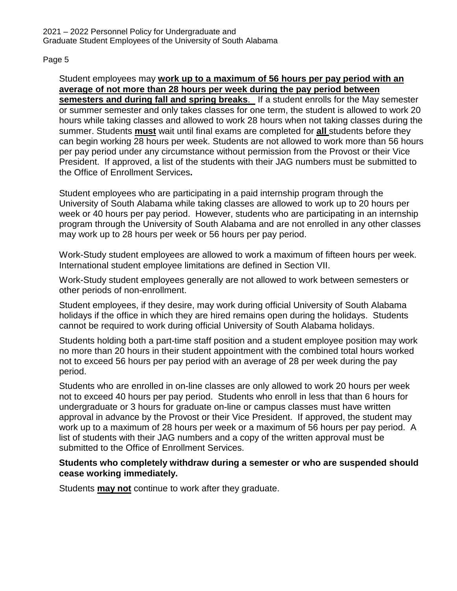Student employees may **work up to a maximum of 56 hours per pay period with an average of not more than 28 hours per week during the pay period between semesters and during fall and spring breaks**. If a student enrolls for the May semester or summer semester and only takes classes for one term, the student is allowed to work 20 hours while taking classes and allowed to work 28 hours when not taking classes during the summer. Students **must** wait until final exams are completed for **all** students before they can begin working 28 hours per week. Students are not allowed to work more than 56 hours per pay period under any circumstance without permission from the Provost or their Vice President. If approved, a list of the students with their JAG numbers must be submitted to the Office of Enrollment Services**.**

Student employees who are participating in a paid internship program through the University of South Alabama while taking classes are allowed to work up to 20 hours per week or 40 hours per pay period. However, students who are participating in an internship program through the University of South Alabama and are not enrolled in any other classes may work up to 28 hours per week or 56 hours per pay period.

Work-Study student employees are allowed to work a maximum of fifteen hours per week. International student employee limitations are defined in Section VII.

Work-Study student employees generally are not allowed to work between semesters or other periods of non-enrollment.

Student employees, if they desire, may work during official University of South Alabama holidays if the office in which they are hired remains open during the holidays. Students cannot be required to work during official University of South Alabama holidays.

Students holding both a part-time staff position and a student employee position may work no more than 20 hours in their student appointment with the combined total hours worked not to exceed 56 hours per pay period with an average of 28 per week during the pay period.

Students who are enrolled in on-line classes are only allowed to work 20 hours per week not to exceed 40 hours per pay period. Students who enroll in less that than 6 hours for undergraduate or 3 hours for graduate on-line or campus classes must have written approval in advance by the Provost or their Vice President. If approved, the student may work up to a maximum of 28 hours per week or a maximum of 56 hours per pay period. A list of students with their JAG numbers and a copy of the written approval must be submitted to the Office of Enrollment Services.

### **Students who completely withdraw during a semester or who are suspended should cease working immediately.**

Students **may not** continue to work after they graduate.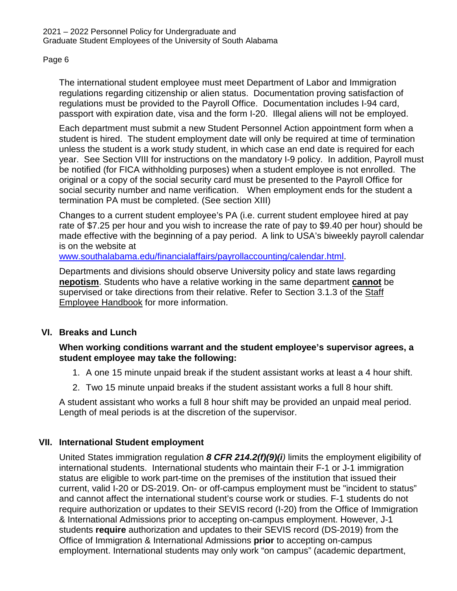The international student employee must meet Department of Labor and Immigration regulations regarding citizenship or alien status. Documentation proving satisfaction of regulations must be provided to the Payroll Office. Documentation includes I-94 card, passport with expiration date, visa and the form I-20. Illegal aliens will not be employed.

Each department must submit a new Student Personnel Action appointment form when a student is hired. The student employment date will only be required at time of termination unless the student is a work study student, in which case an end date is required for each year. See Section VIII for instructions on the mandatory I-9 policy. In addition, Payroll must be notified (for FICA withholding purposes) when a student employee is not enrolled. The original or a copy of the social security card must be presented to the Payroll Office for social security number and name verification. When employment ends for the student a termination PA must be completed. (See section XIII)

Changes to a current student employee's PA (i.e. current student employee hired at pay rate of \$7.25 per hour and you wish to increase the rate of pay to \$9.40 per hour) should be made effective with the beginning of a pay period. A link to USA's biweekly payroll calendar is on the website at

[www.southalabama.edu/financialaffairs/payrollaccounting/calendar.html.](http://www.southalabama.edu/financialaffairs/payrollaccounting/calendar.html)

Departments and divisions should observe University policy and state laws regarding **nepotism**. Students who have a relative working in the same department **cannot** be supervised or take directions from their relative. Refer to Section 3.1.3 of the Staff Employee Handbook for more information.

# **VI. Breaks and Lunch**

## **When working conditions warrant and the student employee's supervisor agrees, a student employee may take the following:**

- 1. A one 15 minute unpaid break if the student assistant works at least a 4 hour shift.
- 2. Two 15 minute unpaid breaks if the student assistant works a full 8 hour shift.

A student assistant who works a full 8 hour shift may be provided an unpaid meal period. Length of meal periods is at the discretion of the supervisor.

# **VII. International Student employment**

United States immigration regulation *8 CFR 214.2(f)(9)(i)* limits the employment eligibility of international students. International students who maintain their F-1 or J-1 immigration status are eligible to work part-time on the premises of the institution that issued their current, valid I-20 or DS-2019. On- or off-campus employment must be "incident to status" and cannot affect the international student's course work or studies. F-1 students do not require authorization or updates to their SEVIS record (I-20) from the Office of Immigration & International Admissions prior to accepting on-campus employment. However, J-1 students **require** authorization and updates to their SEVIS record (DS-2019) from the Office of Immigration & International Admissions **prior** to accepting on-campus employment. International students may only work "on campus" (academic department,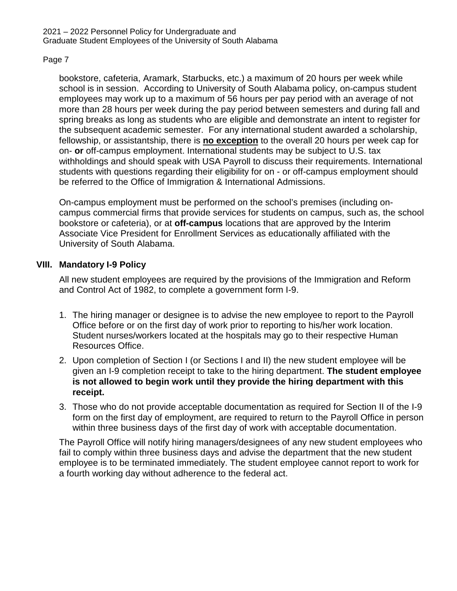bookstore, cafeteria, Aramark, Starbucks, etc.) a maximum of 20 hours per week while school is in session. According to University of South Alabama policy, on-campus student employees may work up to a maximum of 56 hours per pay period with an average of not more than 28 hours per week during the pay period between semesters and during fall and spring breaks as long as students who are eligible and demonstrate an intent to register for the subsequent academic semester. For any international student awarded a scholarship, fellowship, or assistantship, there is **no exception** to the overall 20 hours per week cap for on- **or** off-campus employment. International students may be subject to U.S. tax withholdings and should speak with USA Payroll to discuss their requirements. International students with questions regarding their eligibility for on - or off-campus employment should be referred to the Office of Immigration & International Admissions.

On-campus employment must be performed on the school's premises (including oncampus commercial firms that provide services for students on campus, such as, the school bookstore or cafeteria), or at **off-campus** locations that are approved by the Interim Associate Vice President for Enrollment Services as educationally affiliated with the University of South Alabama.

## **VIII. Mandatory I-9 Policy**

All new student employees are required by the provisions of the Immigration and Reform and Control Act of 1982, to complete a government form I-9.

- 1. The hiring manager or designee is to advise the new employee to report to the Payroll Office before or on the first day of work prior to reporting to his/her work location. Student nurses/workers located at the hospitals may go to their respective Human Resources Office.
- 2. Upon completion of Section I (or Sections I and II) the new student employee will be given an I-9 completion receipt to take to the hiring department. **The student employee is not allowed to begin work until they provide the hiring department with this receipt.**
- 3. Those who do not provide acceptable documentation as required for Section II of the I-9 form on the first day of employment, are required to return to the Payroll Office in person within three business days of the first day of work with acceptable documentation.

The Payroll Office will notify hiring managers/designees of any new student employees who fail to comply within three business days and advise the department that the new student employee is to be terminated immediately. The student employee cannot report to work for a fourth working day without adherence to the federal act.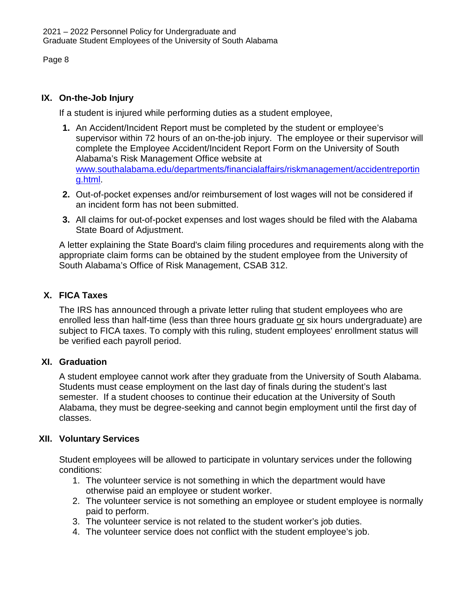# **IX. On-the-Job Injury**

If a student is injured while performing duties as a student employee,

- **1.** An Accident/Incident Report must be completed by the student or employee's supervisor within 72 hours of an on-the-job injury. The employee or their supervisor will complete the Employee Accident/Incident Report Form on the University of South Alabama's Risk Management Office website at [www.southalabama.edu/departments/financialaffairs/riskmanagement/accidentreportin](http://www.southalabama.edu/departments/financialaffairs/riskmanagement/accidentreporting.html) [g.html.](http://www.southalabama.edu/departments/financialaffairs/riskmanagement/accidentreporting.html)
- **2.** Out-of-pocket expenses and/or reimbursement of lost wages will not be considered if an incident form has not been submitted.
- **3.** All claims for out-of-pocket expenses and lost wages should be filed with the Alabama State Board of Adjustment.

A letter explaining the State Board's claim filing procedures and requirements along with the appropriate claim forms can be obtained by the student employee from the University of South Alabama's Office of Risk Management, CSAB 312.

# **X. FICA Taxes**

The IRS has announced through a private letter ruling that student employees who are enrolled less than half-time (less than three hours graduate or six hours undergraduate) are subject to FICA taxes. To comply with this ruling, student employees' enrollment status will be verified each payroll period.

# **XI. Graduation**

A student employee cannot work after they graduate from the University of South Alabama. Students must cease employment on the last day of finals during the student's last semester. If a student chooses to continue their education at the University of South Alabama, they must be degree-seeking and cannot begin employment until the first day of classes.

# **XII. Voluntary Services**

Student employees will be allowed to participate in voluntary services under the following conditions:

- 1. The volunteer service is not something in which the department would have otherwise paid an employee or student worker.
- 2. The volunteer service is not something an employee or student employee is normally paid to perform.
- 3. The volunteer service is not related to the student worker's job duties.
- 4. The volunteer service does not conflict with the student employee's job.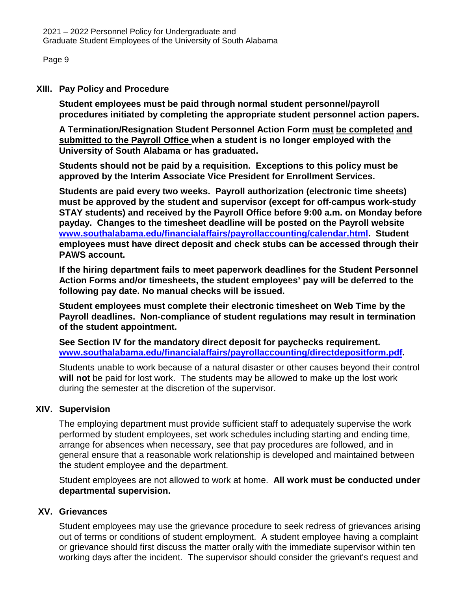2021 – 2022 Personnel Policy for Undergraduate and Graduate Student Employees of the University of South Alabama

Page 9

#### **XIII. Pay Policy and Procedure**

**Student employees must be paid through normal student personnel/payroll procedures initiated by completing the appropriate student personnel action papers.** 

**A Termination/Resignation Student Personnel Action Form must be completed and submitted to the Payroll Office when a student is no longer employed with the University of South Alabama or has graduated.**

**Students should not be paid by a requisition. Exceptions to this policy must be approved by the Interim Associate Vice President for Enrollment Services.**

**Students are paid every two weeks. Payroll authorization (electronic time sheets) must be approved by the student and supervisor (except for off-campus work-study STAY students) and received by the Payroll Office before 9:00 a.m. on Monday before payday. Changes to the timesheet deadline will be posted on the Payroll website [www.southalabama.edu/financialaffairs/payrollaccounting/calendar.html.](http://www.southalabama.edu/financialaffairs/payrollaccounting/calendar.html) Student employees must have direct deposit and check stubs can be accessed through their PAWS account.**

**If the hiring department fails to meet paperwork deadlines for the Student Personnel Action Forms and/or timesheets, the student employees' pay will be deferred to the following pay date. No manual checks will be issued.**

**Student employees must complete their electronic timesheet on Web Time by the Payroll deadlines. Non-compliance of student regulations may result in termination of the student appointment.**

**See Section IV for the mandatory direct deposit for paychecks requirement. [www.southalabama.edu/financialaffairs/payrollaccounting/directdepositform.pdf.](http://www.southalabama.edu/financialaffairs/payrollaccounting/directdepositform.pdf)**

Students unable to work because of a natural disaster or other causes beyond their control **will not** be paid for lost work. The students may be allowed to make up the lost work during the semester at the discretion of the supervisor.

## **XIV. Supervision**

The employing department must provide sufficient staff to adequately supervise the work performed by student employees, set work schedules including starting and ending time, arrange for absences when necessary, see that pay procedures are followed, and in general ensure that a reasonable work relationship is developed and maintained between the student employee and the department.

Student employees are not allowed to work at home. **All work must be conducted under departmental supervision.**

### **XV. Grievances**

Student employees may use the grievance procedure to seek redress of grievances arising out of terms or conditions of student employment. A student employee having a complaint or grievance should first discuss the matter orally with the immediate supervisor within ten working days after the incident. The supervisor should consider the grievant's request and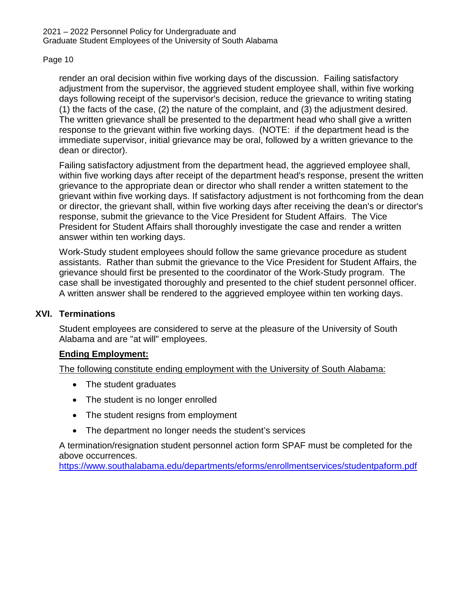render an oral decision within five working days of the discussion. Failing satisfactory adjustment from the supervisor, the aggrieved student employee shall, within five working days following receipt of the supervisor's decision, reduce the grievance to writing stating (1) the facts of the case, (2) the nature of the complaint, and (3) the adjustment desired. The written grievance shall be presented to the department head who shall give a written response to the grievant within five working days. (NOTE: if the department head is the immediate supervisor, initial grievance may be oral, followed by a written grievance to the dean or director).

Failing satisfactory adjustment from the department head, the aggrieved employee shall, within five working days after receipt of the department head's response, present the written grievance to the appropriate dean or director who shall render a written statement to the grievant within five working days. If satisfactory adjustment is not forthcoming from the dean or director, the grievant shall, within five working days after receiving the dean's or director's response, submit the grievance to the Vice President for Student Affairs. The Vice President for Student Affairs shall thoroughly investigate the case and render a written answer within ten working days.

Work-Study student employees should follow the same grievance procedure as student assistants. Rather than submit the grievance to the Vice President for Student Affairs, the grievance should first be presented to the coordinator of the Work-Study program. The case shall be investigated thoroughly and presented to the chief student personnel officer. A written answer shall be rendered to the aggrieved employee within ten working days.

### **XVI. Terminations**

Student employees are considered to serve at the pleasure of the University of South Alabama and are "at will" employees.

### **Ending Employment:**

The following constitute ending employment with the University of South Alabama:

- The student graduates
- The student is no longer enrolled
- The student resigns from employment
- The department no longer needs the student's services

A termination/resignation student personnel action form SPAF must be completed for the above occurrences.

<https://www.southalabama.edu/departments/eforms/enrollmentservices/studentpaform.pdf>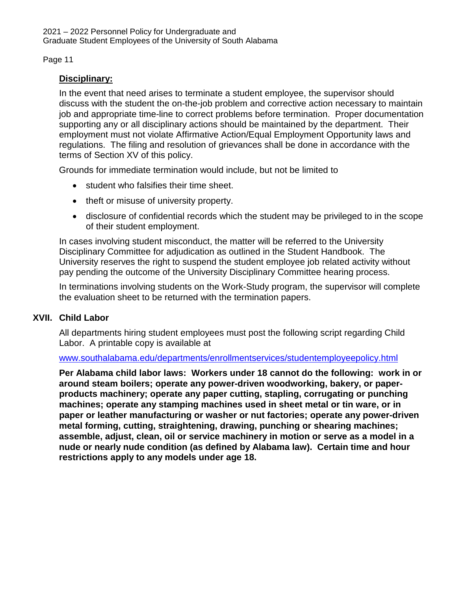## **Disciplinary:**

In the event that need arises to terminate a student employee, the supervisor should discuss with the student the on-the-job problem and corrective action necessary to maintain job and appropriate time-line to correct problems before termination. Proper documentation supporting any or all disciplinary actions should be maintained by the department. Their employment must not violate Affirmative Action/Equal Employment Opportunity laws and regulations. The filing and resolution of grievances shall be done in accordance with the terms of Section XV of this policy.

Grounds for immediate termination would include, but not be limited to

- student who falsifies their time sheet.
- theft or misuse of university property.
- disclosure of confidential records which the student may be privileged to in the scope of their student employment.

In cases involving student misconduct, the matter will be referred to the University Disciplinary Committee for adjudication as outlined in the Student Handbook. The University reserves the right to suspend the student employee job related activity without pay pending the outcome of the University Disciplinary Committee hearing process.

In terminations involving students on the Work-Study program, the supervisor will complete the evaluation sheet to be returned with the termination papers.

### **XVII. Child Labor**

All departments hiring student employees must post the following script regarding Child Labor. A printable copy is available at

### [www.southalabama.edu/departments/enrollmentservices/studentemployeepolicy.html](http://www.southalabama.edu/departments/enrollmentservices/studentemployeepolicy.html)

**Per Alabama child labor laws: Workers under 18 cannot do the following: work in or around steam boilers; operate any power-driven woodworking, bakery, or paperproducts machinery; operate any paper cutting, stapling, corrugating or punching machines; operate any stamping machines used in sheet metal or tin ware, or in paper or leather manufacturing or washer or nut factories; operate any power-driven metal forming, cutting, straightening, drawing, punching or shearing machines; assemble, adjust, clean, oil or service machinery in motion or serve as a model in a nude or nearly nude condition (as defined by Alabama law). Certain time and hour restrictions apply to any models under age 18.**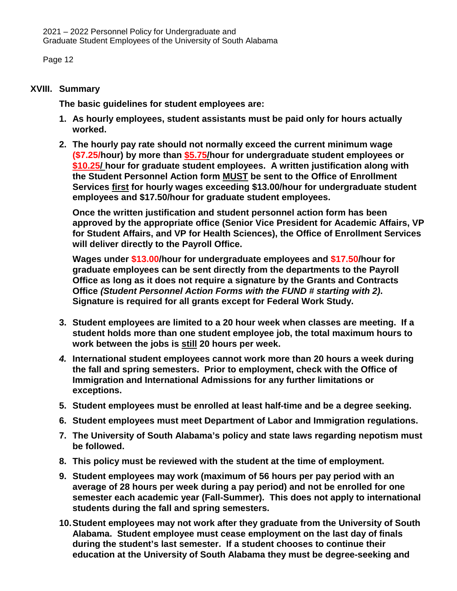## **XVIII. Summary**

**The basic guidelines for student employees are:** 

- **1. As hourly employees, student assistants must be paid only for hours actually worked.**
- **2. The hourly pay rate should not normally exceed the current minimum wage (\$7.25/hour) by more than \$5.75/hour for undergraduate student employees or \$10.25/ hour for graduate student employees. A written justification along with the Student Personnel Action form MUST be sent to the Office of Enrollment Services first for hourly wages exceeding \$13.00/hour for undergraduate student employees and \$17.50/hour for graduate student employees.**

**Once the written justification and student personnel action form has been approved by the appropriate office (Senior Vice President for Academic Affairs, VP for Student Affairs, and VP for Health Sciences), the Office of Enrollment Services will deliver directly to the Payroll Office.** 

**Wages under \$13.00/hour for undergraduate employees and \$17.50/hour for graduate employees can be sent directly from the departments to the Payroll Office as long as it does not require a signature by the Grants and Contracts Office** *(Student Personnel Action Forms with the FUND # starting with 2)***. Signature is required for all grants except for Federal Work Study.** 

- **3. Student employees are limited to a 20 hour week when classes are meeting. If a student holds more than one student employee job, the total maximum hours to work between the jobs is still 20 hours per week.**
- *4.* **International student employees cannot work more than 20 hours a week during the fall and spring semesters. Prior to employment, check with the Office of Immigration and International Admissions for any further limitations or exceptions.**
- **5. Student employees must be enrolled at least half-time and be a degree seeking.**
- **6. Student employees must meet Department of Labor and Immigration regulations.**
- **7. The University of South Alabama's policy and state laws regarding nepotism must be followed.**
- **8. This policy must be reviewed with the student at the time of employment.**
- **9. Student employees may work (maximum of 56 hours per pay period with an average of 28 hours per week during a pay period) and not be enrolled for one semester each academic year (Fall-Summer). This does not apply to international students during the fall and spring semesters.**
- **10.Student employees may not work after they graduate from the University of South Alabama. Student employee must cease employment on the last day of finals during the student's last semester. If a student chooses to continue their education at the University of South Alabama they must be degree-seeking and**